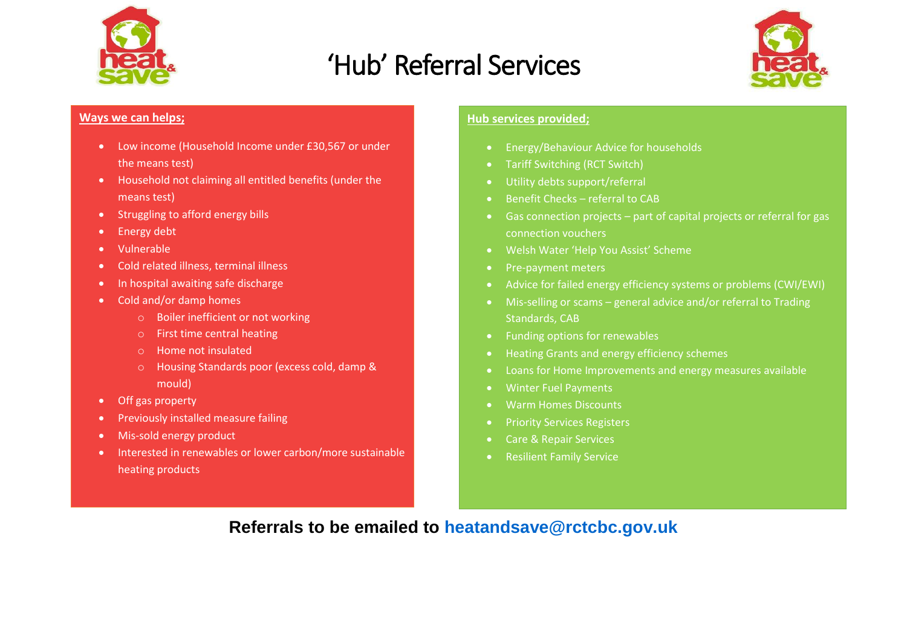

## 'Hub' Referral Services



## **Ways we can helps;**

- Low income (Household Income under £30,567 or under the means test)
- Household not claiming all entitled benefits (under the means test)
- Struggling to afford energy bills
- Energy debt
- Vulnerable
- Cold related illness, terminal illness
- In hospital awaiting safe discharge
- Cold and/or damp homes
	- o Boiler inefficient or not working
	- o First time central heating
	- o Home not insulated
	- o Housing Standards poor (excess cold, damp & mould)
- Off gas property
- Previously installed measure failing
- Mis-sold energy product
- Interested in renewables or lower carbon/more sustainable heating products

## **Hub services provided;**

- **•** Energy/Behaviour Advice for households
- Tariff Switching (RCT Switch)
- Utility debts support/referral
- Benefit Checks referral to CAB
- Gas connection projects part of capital projects or referral for gas connection vouchers
- Welsh Water 'Help You Assist' Scheme
- Pre-payment meters
- Advice for failed energy efficiency systems or problems (CWI/EWI)
- Mis-selling or scams general advice and/or referral to Trading Standards, CAB
- Funding options for renewables
- Heating Grants and energy efficiency schemes
- Loans for Home Improvements and energy measures available
- Winter Fuel Payments
- Warm Homes Discounts
- Priority Services Registers
- Care & Repair Services
- **•** Resilient Family Service

## **Referrals to be emailed to [heatandsave@rctcbc.gov.uk](mailto:heatandsave@rctcbc.gov.uk)**